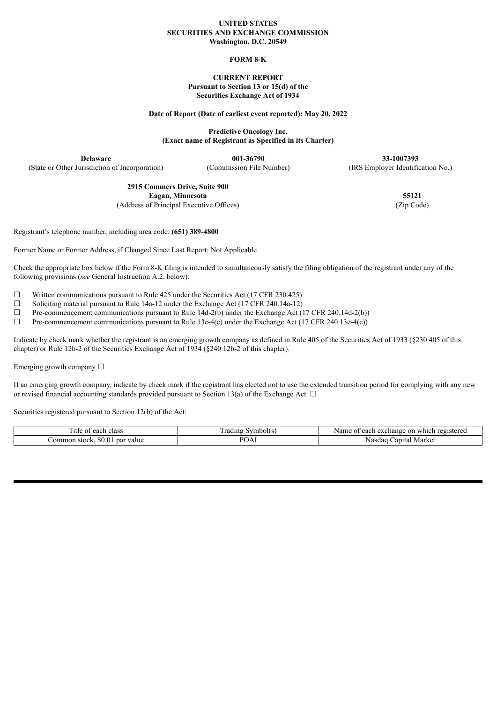#### **UNITED STATES SECURITIES AND EXCHANGE COMMISSION Washington, D.C. 20549**

## **FORM 8-K**

## **CURRENT REPORT Pursuant to Section 13 or 15(d) of the Securities Exchange Act of 1934**

#### **Date of Report (Date of earliest event reported): May 20, 2022**

**Predictive Oncology Inc. (Exact name of Registrant as Specified in its Charter)**

**Delaware 001-36790 33-1007393** (State or Other Jurisdiction of Incorporation) (Commission File Number) (IRS Employer Identification No.)

> **2915 Commers Drive, Suite 900 Eagan, Minnesota 55121** (Address of Principal Executive Offices) (Zip Code)

Registrant's telephone number, including area code: **(651) 389-4800**

Former Name or Former Address, if Changed Since Last Report: Not Applicable

Check the appropriate box below if the Form 8-K filing is intended to simultaneously satisfy the filing obligation of the registrant under any of the following provisions (*see* General Instruction A.2. below):

 $\Box$  Written communications pursuant to Rule 425 under the Securities Act (17 CFR 230.425)

 $\Box$  Soliciting material pursuant to Rule 14a-12 under the Exchange Act (17 CFR 240.14a-12)

☐ Pre-commencement communications pursuant to Rule 14d-2(b) under the Exchange Act (17 CFR 240.14d-2(b))

 $\Box$  Pre-commencement communications pursuant to Rule 13e-4(c) under the Exchange Act (17 CFR 240.13e-4(c))

Indicate by check mark whether the registrant is an emerging growth company as defined in Rule 405 of the Securities Act of 1933 (§230.405 of this chapter) or Rule 12b-2 of the Securities Exchange Act of 1934 (§240.12b-2 of this chapter).

Emerging growth company  $\Box$ 

If an emerging growth company, indicate by check mark if the registrant has elected not to use the extended transition period for complying with any new or revised financial accounting standards provided pursuant to Section 13(a) of the Exchange Act.  $\Box$ 

Securities registered pursuant to Section 12(b) of the Act:

| ---<br>$\Delta$<br>class<br>litie<br>. OT<br>انتاقت | ivm<br>rading<br>mbolts | registered<br>each<br>on<br>, exchange<br>which<br>Name |
|-----------------------------------------------------|-------------------------|---------------------------------------------------------|
| \$0.0<br>ommon<br>par value<br>stock                | DC<br>Д<br>U⊥           | Market<br>Capital<br>Nasdaq                             |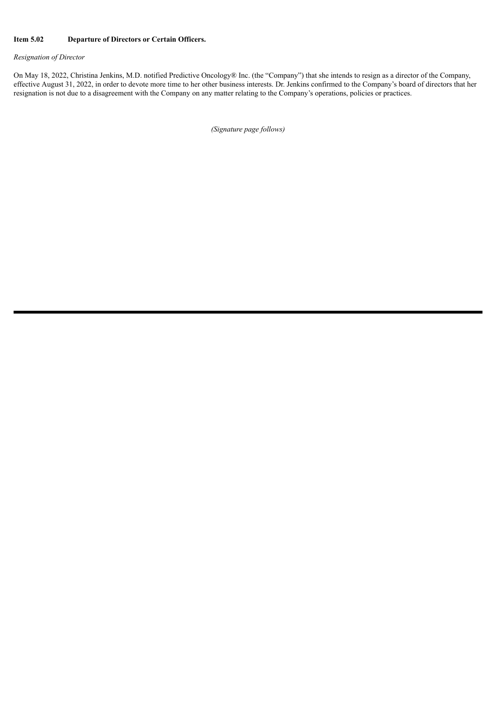#### **Item 5.02 Departure of Directors or Certain Officers.**

# *Resignation of Director*

On May 18, 2022, Christina Jenkins, M.D. notified Predictive Oncology® Inc. (the "Company") that she intends to resign as a director of the Company, effective August 31, 2022, in order to devote more time to her other business interests. Dr. Jenkins confirmed to the Company's board of directors that her resignation is not due to a disagreement with the Company on any matter relating to the Company's operations, policies or practices.

*(Signature page follows)*